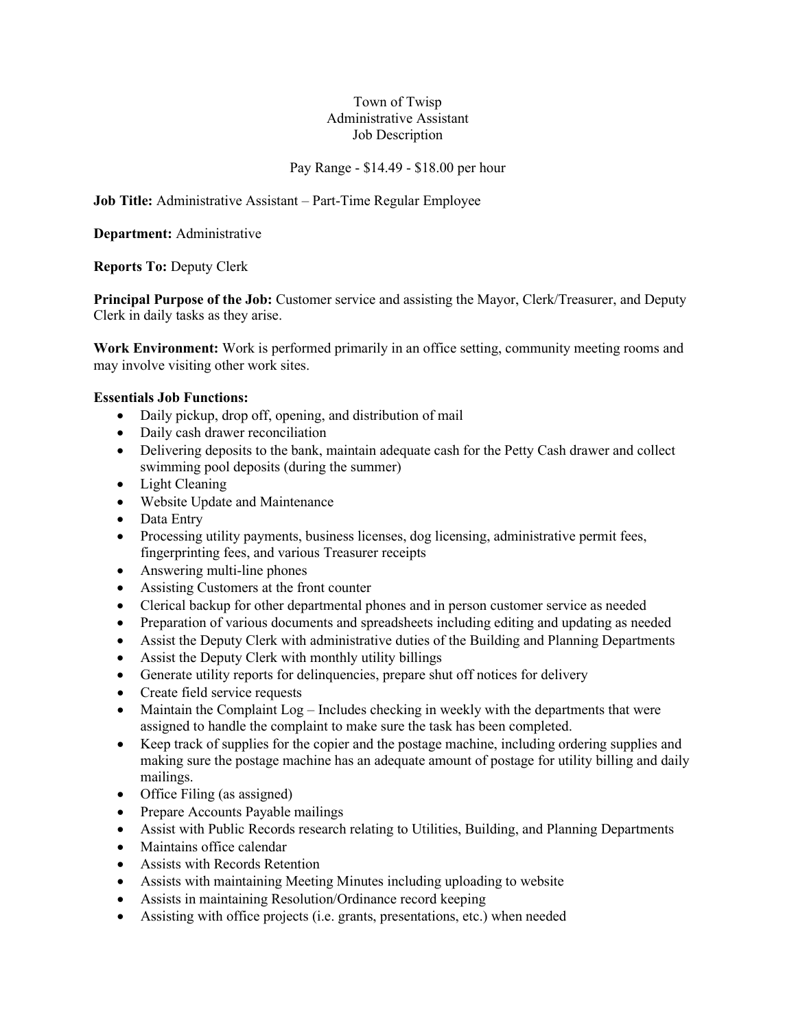#### Town of Twisp Administrative Assistant Job Description

#### Pay Range - \$14.49 - \$18.00 per hour

**Job Title:** Administrative Assistant – Part-Time Regular Employee

**Department:** Administrative

**Reports To:** Deputy Clerk

**Principal Purpose of the Job:** Customer service and assisting the Mayor, Clerk/Treasurer, and Deputy Clerk in daily tasks as they arise.

**Work Environment:** Work is performed primarily in an office setting, community meeting rooms and may involve visiting other work sites.

#### **Essentials Job Functions:**

- Daily pickup, drop off, opening, and distribution of mail
- Daily cash drawer reconciliation
- Delivering deposits to the bank, maintain adequate cash for the Petty Cash drawer and collect swimming pool deposits (during the summer)
- Light Cleaning
- Website Update and Maintenance
- Data Entry
- Processing utility payments, business licenses, dog licensing, administrative permit fees, fingerprinting fees, and various Treasurer receipts
- Answering multi-line phones
- Assisting Customers at the front counter
- Clerical backup for other departmental phones and in person customer service as needed
- Preparation of various documents and spreadsheets including editing and updating as needed
- Assist the Deputy Clerk with administrative duties of the Building and Planning Departments
- Assist the Deputy Clerk with monthly utility billings
- Generate utility reports for delinquencies, prepare shut off notices for delivery
- Create field service requests
- Maintain the Complaint  $Log \text{Includes checking in weekly with the departments that were}$ assigned to handle the complaint to make sure the task has been completed.
- Keep track of supplies for the copier and the postage machine, including ordering supplies and making sure the postage machine has an adequate amount of postage for utility billing and daily mailings.
- Office Filing (as assigned)
- Prepare Accounts Payable mailings
- Assist with Public Records research relating to Utilities, Building, and Planning Departments
- Maintains office calendar
- Assists with Records Retention
- Assists with maintaining Meeting Minutes including uploading to website
- Assists in maintaining Resolution/Ordinance record keeping
- Assisting with office projects (i.e. grants, presentations, etc.) when needed